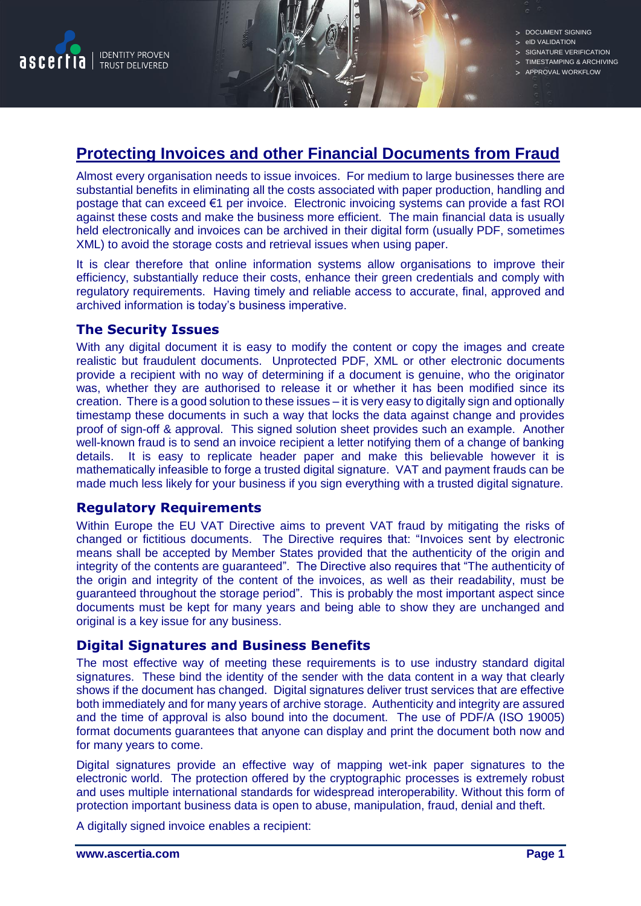

> DOCUMENT SIGNING

- eID VALIDATION
- SIGNATURE VERIFICATION TIMESTAMPING & ARCHIVING
- APPROVAL WORKFLOW

# **Protecting Invoices and other Financial Documents from Fraud**

Almost every organisation needs to issue invoices. For medium to large businesses there are substantial benefits in eliminating all the costs associated with paper production, handling and postage that can exceed €1 per invoice. Electronic invoicing systems can provide a fast ROI against these costs and make the business more efficient. The main financial data is usually held electronically and invoices can be archived in their digital form (usually PDF, sometimes XML) to avoid the storage costs and retrieval issues when using paper.

It is clear therefore that online information systems allow organisations to improve their efficiency, substantially reduce their costs, enhance their green credentials and comply with regulatory requirements. Having timely and reliable access to accurate, final, approved and archived information is today's business imperative.

### **The Security Issues**

With any digital document it is easy to modify the content or copy the images and create realistic but fraudulent documents. Unprotected PDF, XML or other electronic documents provide a recipient with no way of determining if a document is genuine, who the originator was, whether they are authorised to release it or whether it has been modified since its creation. There is a good solution to these issues – it is very easy to digitally sign and optionally timestamp these documents in such a way that locks the data against change and provides proof of sign-off & approval. This signed solution sheet provides such an example. Another well-known fraud is to send an invoice recipient a letter notifying them of a change of banking details. It is easy to replicate header paper and make this believable however it is mathematically infeasible to forge a trusted digital signature. VAT and payment frauds can be made much less likely for your business if you sign everything with a trusted digital signature.

## **Regulatory Requirements**

Within Europe the EU VAT Directive aims to prevent VAT fraud by mitigating the risks of changed or fictitious documents. The Directive requires that: "Invoices sent by electronic means shall be accepted by Member States provided that the authenticity of the origin and integrity of the contents are guaranteed". The Directive also requires that "The authenticity of the origin and integrity of the content of the invoices, as well as their readability, must be guaranteed throughout the storage period". This is probably the most important aspect since documents must be kept for many years and being able to show they are unchanged and original is a key issue for any business.

#### **Digital Signatures and Business Benefits**

The most effective way of meeting these requirements is to use industry standard digital signatures. These bind the identity of the sender with the data content in a way that clearly shows if the document has changed. Digital signatures deliver trust services that are effective both immediately and for many years of archive storage. Authenticity and integrity are assured and the time of approval is also bound into the document. The use of PDF/A (ISO 19005) format documents guarantees that anyone can display and print the document both now and for many years to come.

Digital signatures provide an effective way of mapping wet-ink paper signatures to the electronic world. The protection offered by the cryptographic processes is extremely robust and uses multiple international standards for widespread interoperability. Without this form of protection important business data is open to abuse, manipulation, fraud, denial and theft.

A digitally signed invoice enables a recipient: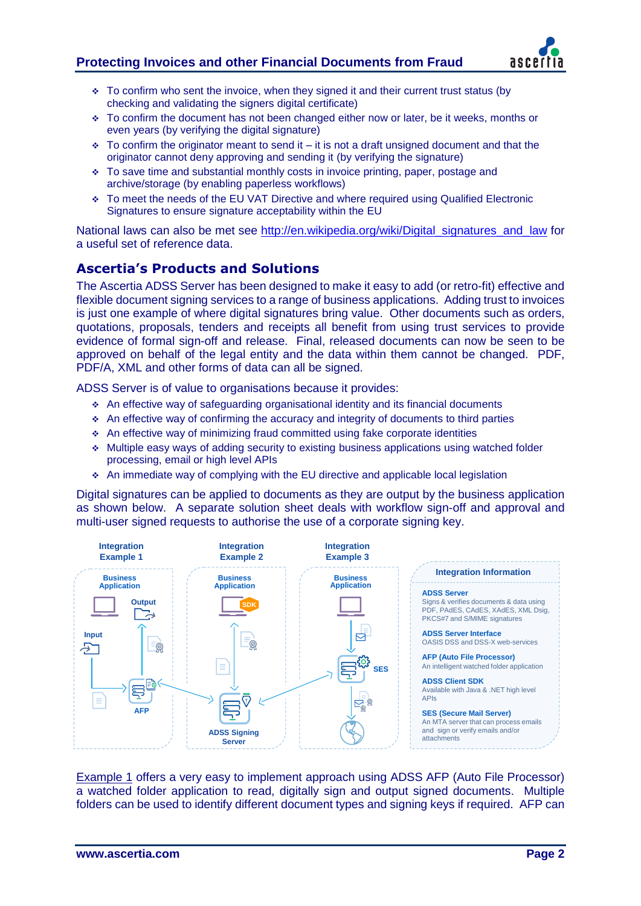

- $\div$  To confirm who sent the invoice, when they signed it and their current trust status (by checking and validating the signers digital certificate)
- $\div$  To confirm the document has not been changed either now or later, be it weeks, months or even years (by verifying the digital signature)
- $\div$  To confirm the originator meant to send it it is not a draft unsigned document and that the originator cannot deny approving and sending it (by verifying the signature)
- $\div$  To save time and substantial monthly costs in invoice printing, paper, postage and archive/storage (by enabling paperless workflows)
- To meet the needs of the EU VAT Directive and where required using Qualified Electronic Signatures to ensure signature acceptability within the EU

National laws can also be met see [http://en.wikipedia.org/wiki/Digital\\_signatures\\_and\\_law](http://en.wikipedia.org/wiki/Digital_signatures_and_law) for a useful set of reference data.

## **Ascertia's Products and Solutions**

The Ascertia ADSS Server has been designed to make it easy to add (or retro-fit) effective and flexible document signing services to a range of business applications. Adding trust to invoices is just one example of where digital signatures bring value. Other documents such as orders, quotations, proposals, tenders and receipts all benefit from using trust services to provide evidence of formal sign-off and release. Final, released documents can now be seen to be approved on behalf of the legal entity and the data within them cannot be changed. PDF, PDF/A, XML and other forms of data can all be signed.

ADSS Server is of value to organisations because it provides:

- $\triangle$  An effective way of safeguarding organisational identity and its financial documents
- $\triangle$  An effective way of confirming the accuracy and integrity of documents to third parties
- $\triangle$  An effective way of minimizing fraud committed using fake corporate identities
- Multiple easy ways of adding security to existing business applications using watched folder processing, email or high level APIs
- An immediate way of complying with the EU directive and applicable local legislation

Digital signatures can be applied to documents as they are output by the business application as shown below. A separate solution sheet deals with workflow sign-off and approval and multi-user signed requests to authorise the use of a corporate signing key.



Example 1 offers a very easy to implement approach using ADSS AFP (Auto File Processor) a watched folder application to read, digitally sign and output signed documents. Multiple folders can be used to identify different document types and signing keys if required. AFP can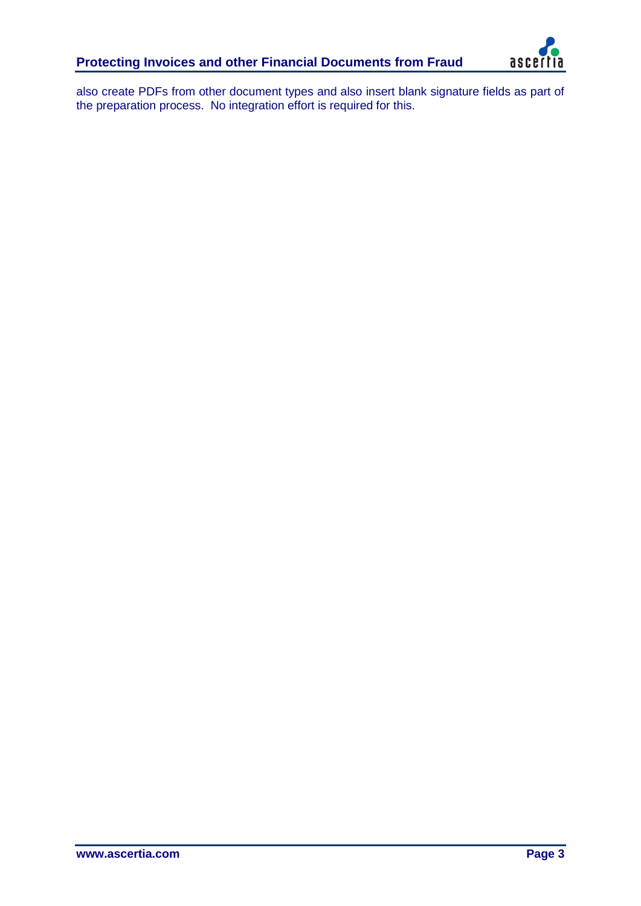

also create PDFs from other document types and also insert blank signature fields as part of the preparation process. No integration effort is required for this.